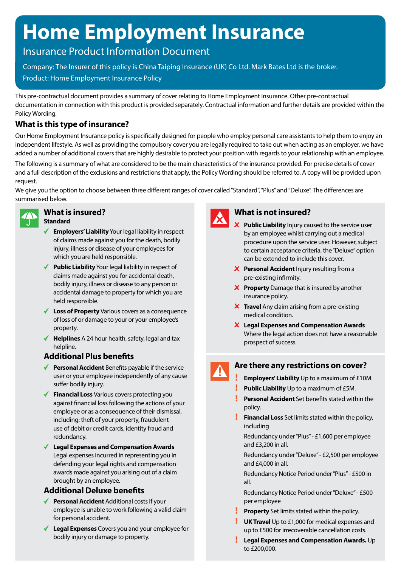# **Home Employment Insurance**

# Insurance Product Information Document

Company: The Insurer of this policy is China Taiping Insurance (UK) Co Ltd. Mark Bates Ltd is the broker. Product: Home Employment Insurance Policy

This pre-contractual document provides a summary of cover relating to Home Employment Insurance. Other pre-contractual documentation in connection with this product is provided separately. Contractual information and further details are provided within the Policy Wording.

# **What is this type of insurance?**

Our Home Employment Insurance policy is specifically designed for people who employ personal care assistants to help them to enjoy an independent lifestyle. As well as providing the compulsory cover you are legally required to take out when acting as an employer, we have added a number of additional covers that are highly desirable to protect your position with regards to your relationship with an employee.

The following is a summary of what are considered to be the main characteristics of the insurance provided. For precise details of cover and a full description of the exclusions and restrictions that apply, the Policy Wording should be referred to. A copy will be provided upon request.

We give you the option to choose between three different ranges of cover called "Standard", "Plus" and "Deluxe". The differences are summarised below.



### **What is insured? Standard**

- **Employers' Liability** Your legal liability in respect of claims made against you for the death, bodily injury, illness or disease of your employees for which you are held responsible.
- ◆ **Public Liability** Your legal liability in respect of claims made against you for accidental death, bodily injury, illness or disease to any person or accidental damage to property for which you are held responsible.
- **Loss of Property** Various covers as a consequence of loss of or damage to your or your employee's property.
- ◆ **Helplines** A 24 hour health, safety, legal and tax helpline.

### **Additional Plus benefits**

- ◆ **Personal Accident** Benefits payable if the service user or your employee independently of any cause suffer bodily injury.
- **Financial Loss** Various covers protecting you against financial loss following the actions of your employee or as a consequence of their dismissal, including: theft of your property, fraudulent use of debit or credit cards, identity fraud and redundancy.
- **Legal Expenses and Compensation Awards** Legal expenses incurred in representing you in defending your legal rights and compensation awards made against you arising out of a claim brought by an employee.

# **Additional Deluxe benefits**

- ◆ **Personal Accident** Additional costs if your employee is unable to work following a valid claim for personal accident.
- **Legal Expenses** Covers you and your employee for bodily injury or damage to property.



### **What is not insured?**

- **Public Liability** Injury caused to the service user by an employee whilst carrying out a medical procedure upon the service user. However, subject to certain acceptance criteria, the "Deluxe" option can be extended to include this cover.
- **X** Personal Accident Injury resulting from a pre-existing infirmity.
- **X** Property Damage that is insured by another insurance policy.
- **X** Travel Any claim arising from a pre-existing medical condition.
- **Legal Expenses and Compensation Awards** Where the legal action does not have a reasonable prospect of success.

# **Are there any restrictions on cover?**

- **Employers' Liability** Up to a maximum of £10M.
- **Public Liability** Up to a maximum of £5M.
- **Personal Accident** Set benefits stated within the policy.
- Ţ. **Financial Loss** Set limits stated within the policy, including

Redundancy under "Plus" - £1,600 per employee and £3,200 in all.

Redundancy under "Deluxe" - £2,500 per employee and £4,000 in all.

Redundancy Notice Period under "Plus" - £500 in all.

Redundancy Notice Period under "Deluxe" - £500 per employee

- **Property** Set limits stated within the policy.
- **UK Travel** Up to £1,000 for medical expenses and up to £500 for irrecoverable cancellation costs.
- **Legal Expenses and Compensation Awards.** Up to £200,000.